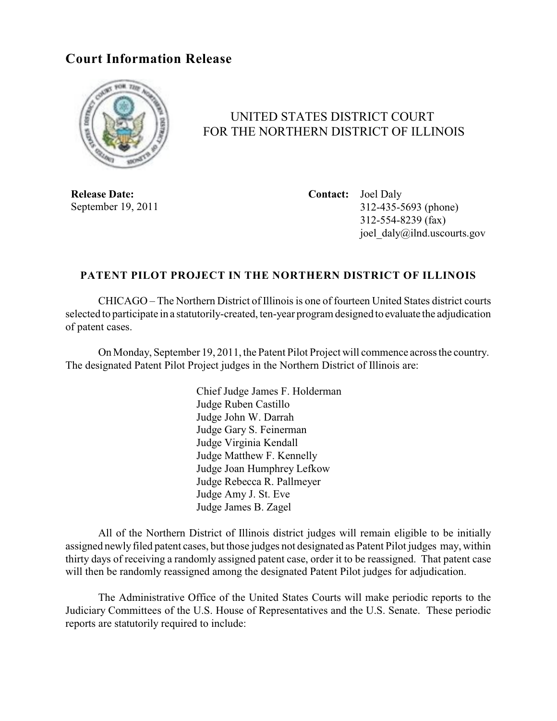## **Court Information Release**



## UNITED STATES DISTRICT COURT FOR THE NORTHERN DISTRICT OF ILLINOIS

**Release Date:** September 19, 2011 **Contact:** Joel Daly 312-435-5693 (phone) 312-554-8239 (fax) joel\_daly@ilnd.uscourts.gov

## **PATENT PILOT PROJECT IN THE NORTHERN DISTRICT OF ILLINOIS**

CHICAGO – The Northern District of Illinois is one of fourteen United States district courts selected to participate in a statutorily-created, ten-year program designed to evaluate the adjudication of patent cases.

On Monday, September 19, 2011, the Patent Pilot Project will commence across the country. The designated Patent Pilot Project judges in the Northern District of Illinois are:

> Chief Judge James F. Holderman Judge Ruben Castillo Judge John W. Darrah Judge Gary S. Feinerman Judge Virginia Kendall Judge Matthew F. Kennelly Judge Joan Humphrey Lefkow Judge Rebecca R. Pallmeyer Judge Amy J. St. Eve Judge James B. Zagel

All of the Northern District of Illinois district judges will remain eligible to be initially assigned newly filed patent cases, but those judges not designated as Patent Pilot judges may, within thirty days of receiving a randomly assigned patent case, order it to be reassigned. That patent case will then be randomly reassigned among the designated Patent Pilot judges for adjudication.

The Administrative Office of the United States Courts will make periodic reports to the Judiciary Committees of the U.S. House of Representatives and the U.S. Senate. These periodic reports are statutorily required to include: